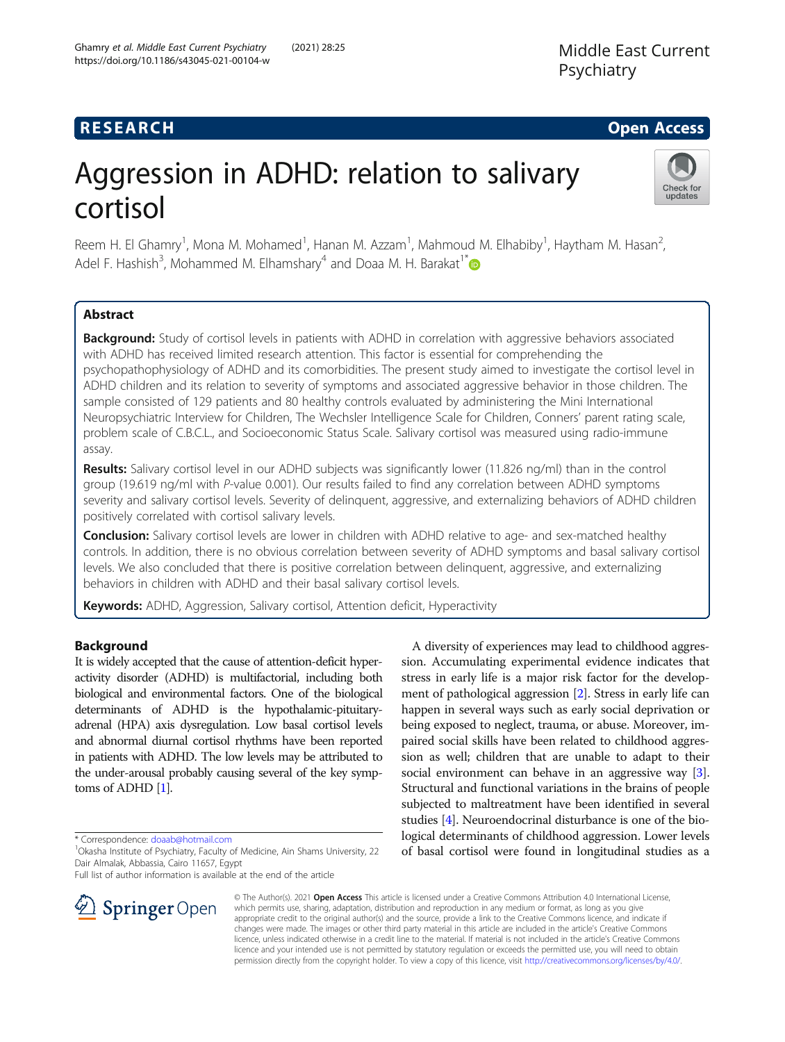## **RESEARCH CHE Open Access**

Check for updates

# Aggression in ADHD: relation to salivary cortisol

Reem H. El Ghamry<sup>1</sup>, Mona M. Mohamed<sup>1</sup>, Hanan M. Azzam<sup>1</sup>, Mahmoud M. Elhabiby<sup>1</sup>, Haytham M. Hasan<sup>2</sup> , Adel F. Hashish<sup>3</sup>, Mohammed M. Elhamshary<sup>4</sup> and Doaa M. H. Barakat<sup>1\*</sup>

## Abstract

**Background:** Study of cortisol levels in patients with ADHD in correlation with aggressive behaviors associated with ADHD has received limited research attention. This factor is essential for comprehending the psychopathophysiology of ADHD and its comorbidities. The present study aimed to investigate the cortisol level in ADHD children and its relation to severity of symptoms and associated aggressive behavior in those children. The sample consisted of 129 patients and 80 healthy controls evaluated by administering the Mini International Neuropsychiatric Interview for Children, The Wechsler Intelligence Scale for Children, Conners' parent rating scale, problem scale of C.B.C.L., and Socioeconomic Status Scale. Salivary cortisol was measured using radio-immune assay.

Results: Salivary cortisol level in our ADHD subjects was significantly lower (11.826 ng/ml) than in the control group (19.619 ng/ml with P-value 0.001). Our results failed to find any correlation between ADHD symptoms severity and salivary cortisol levels. Severity of delinquent, aggressive, and externalizing behaviors of ADHD children positively correlated with cortisol salivary levels.

**Conclusion:** Salivary cortisol levels are lower in children with ADHD relative to age- and sex-matched healthy controls. In addition, there is no obvious correlation between severity of ADHD symptoms and basal salivary cortisol levels. We also concluded that there is positive correlation between delinquent, aggressive, and externalizing behaviors in children with ADHD and their basal salivary cortisol levels.

Keywords: ADHD, Aggression, Salivary cortisol, Attention deficit, Hyperactivity

## Background

It is widely accepted that the cause of attention-deficit hyperactivity disorder (ADHD) is multifactorial, including both biological and environmental factors. One of the biological determinants of ADHD is the hypothalamic-pituitaryadrenal (HPA) axis dysregulation. Low basal cortisol levels and abnormal diurnal cortisol rhythms have been reported in patients with ADHD. The low levels may be attributed to the under-arousal probably causing several of the key symptoms of ADHD [[1](#page-6-0)].

\* Correspondence: [doaab@hotmail.com](mailto:doaab@hotmail.com) <sup>1</sup>

Full list of author information is available at the end of the article



A diversity of experiences may lead to childhood aggression. Accumulating experimental evidence indicates that stress in early life is a major risk factor for the development of pathological aggression [\[2\]](#page-6-0). Stress in early life can happen in several ways such as early social deprivation or being exposed to neglect, trauma, or abuse. Moreover, impaired social skills have been related to childhood aggression as well; children that are unable to adapt to their social environment can behave in an aggressive way [[3](#page-6-0)]. Structural and functional variations in the brains of people subjected to maltreatment have been identified in several studies [\[4\]](#page-6-0). Neuroendocrinal disturbance is one of the biological determinants of childhood aggression. Lower levels of basal cortisol were found in longitudinal studies as a

© The Author(s). 2021 Open Access This article is licensed under a Creative Commons Attribution 4.0 International License, which permits use, sharing, adaptation, distribution and reproduction in any medium or format, as long as you give appropriate credit to the original author(s) and the source, provide a link to the Creative Commons licence, and indicate if changes were made. The images or other third party material in this article are included in the article's Creative Commons licence, unless indicated otherwise in a credit line to the material. If material is not included in the article's Creative Commons licence and your intended use is not permitted by statutory regulation or exceeds the permitted use, you will need to obtain permission directly from the copyright holder. To view a copy of this licence, visit <http://creativecommons.org/licenses/by/4.0/>.

<sup>&</sup>lt;sup>1</sup> Okasha Institute of Psychiatry, Faculty of Medicine, Ain Shams University, 22 Dair Almalak, Abbassia, Cairo 11657, Egypt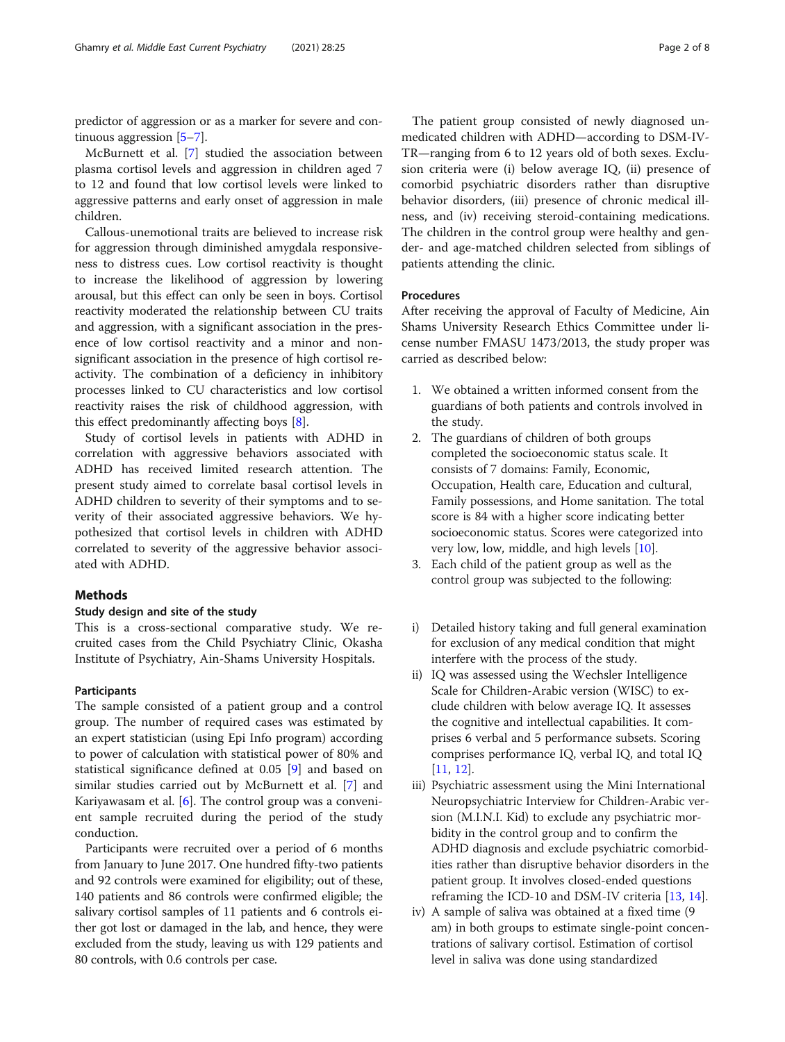predictor of aggression or as a marker for severe and continuous aggression [[5](#page-6-0)–[7](#page-6-0)].

McBurnett et al. [[7\]](#page-6-0) studied the association between plasma cortisol levels and aggression in children aged 7 to 12 and found that low cortisol levels were linked to aggressive patterns and early onset of aggression in male children.

Callous-unemotional traits are believed to increase risk for aggression through diminished amygdala responsiveness to distress cues. Low cortisol reactivity is thought to increase the likelihood of aggression by lowering arousal, but this effect can only be seen in boys. Cortisol reactivity moderated the relationship between CU traits and aggression, with a significant association in the presence of low cortisol reactivity and a minor and nonsignificant association in the presence of high cortisol reactivity. The combination of a deficiency in inhibitory processes linked to CU characteristics and low cortisol reactivity raises the risk of childhood aggression, with this effect predominantly affecting boys [\[8](#page-6-0)].

Study of cortisol levels in patients with ADHD in correlation with aggressive behaviors associated with ADHD has received limited research attention. The present study aimed to correlate basal cortisol levels in ADHD children to severity of their symptoms and to severity of their associated aggressive behaviors. We hypothesized that cortisol levels in children with ADHD correlated to severity of the aggressive behavior associated with ADHD.

## **Methods**

#### Study design and site of the study

This is a cross-sectional comparative study. We recruited cases from the Child Psychiatry Clinic, Okasha Institute of Psychiatry, Ain-Shams University Hospitals.

## **Participants**

The sample consisted of a patient group and a control group. The number of required cases was estimated by an expert statistician (using Epi Info program) according to power of calculation with statistical power of 80% and statistical significance defined at 0.05 [\[9](#page-6-0)] and based on similar studies carried out by McBurnett et al. [\[7\]](#page-6-0) and Kariyawasam et al.  $[6]$  $[6]$ . The control group was a convenient sample recruited during the period of the study conduction.

Participants were recruited over a period of 6 months from January to June 2017. One hundred fifty-two patients and 92 controls were examined for eligibility; out of these, 140 patients and 86 controls were confirmed eligible; the salivary cortisol samples of 11 patients and 6 controls either got lost or damaged in the lab, and hence, they were excluded from the study, leaving us with 129 patients and 80 controls, with 0.6 controls per case.

The patient group consisted of newly diagnosed unmedicated children with ADHD—according to DSM-IV-TR—ranging from 6 to 12 years old of both sexes. Exclusion criteria were (i) below average IQ, (ii) presence of comorbid psychiatric disorders rather than disruptive behavior disorders, (iii) presence of chronic medical illness, and (iv) receiving steroid-containing medications. The children in the control group were healthy and gender- and age-matched children selected from siblings of patients attending the clinic.

## Procedures

After receiving the approval of Faculty of Medicine, Ain Shams University Research Ethics Committee under license number FMASU 1473/2013, the study proper was carried as described below:

- 1. We obtained a written informed consent from the guardians of both patients and controls involved in the study.
- 2. The guardians of children of both groups completed the socioeconomic status scale. It consists of 7 domains: Family, Economic, Occupation, Health care, Education and cultural, Family possessions, and Home sanitation. The total score is 84 with a higher score indicating better socioeconomic status. Scores were categorized into very low, low, middle, and high levels [[10](#page-6-0)].
- 3. Each child of the patient group as well as the control group was subjected to the following:
- i) Detailed history taking and full general examination for exclusion of any medical condition that might interfere with the process of the study.
- ii) IQ was assessed using the Wechsler Intelligence Scale for Children-Arabic version (WISC) to exclude children with below average IQ. It assesses the cognitive and intellectual capabilities. It comprises 6 verbal and 5 performance subsets. Scoring comprises performance IQ, verbal IQ, and total IQ [[11](#page-6-0), [12\]](#page-6-0).
- iii) Psychiatric assessment using the Mini International Neuropsychiatric Interview for Children-Arabic version (M.I.N.I. Kid) to exclude any psychiatric morbidity in the control group and to confirm the ADHD diagnosis and exclude psychiatric comorbidities rather than disruptive behavior disorders in the patient group. It involves closed-ended questions reframing the ICD-10 and DSM-IV criteria [[13](#page-6-0), [14](#page-6-0)].
- iv) A sample of saliva was obtained at a fixed time (9 am) in both groups to estimate single-point concentrations of salivary cortisol. Estimation of cortisol level in saliva was done using standardized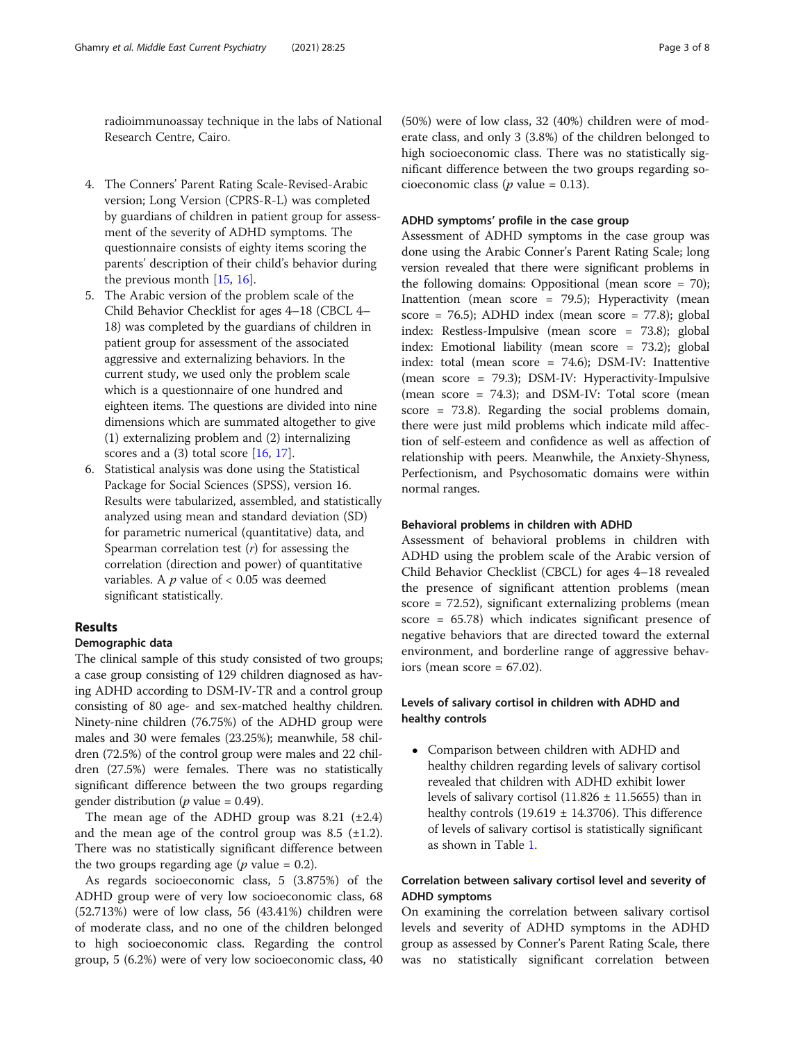radioimmunoassay technique in the labs of National Research Centre, Cairo.

- 4. The Conners' Parent Rating Scale-Revised-Arabic version; Long Version (CPRS-R-L) was completed by guardians of children in patient group for assessment of the severity of ADHD symptoms. The questionnaire consists of eighty items scoring the parents' description of their child's behavior during the previous month [[15,](#page-6-0) [16](#page-6-0)].
- 5. The Arabic version of the problem scale of the Child Behavior Checklist for ages 4–18 (CBCL 4– 18) was completed by the guardians of children in patient group for assessment of the associated aggressive and externalizing behaviors. In the current study, we used only the problem scale which is a questionnaire of one hundred and eighteen items. The questions are divided into nine dimensions which are summated altogether to give (1) externalizing problem and (2) internalizing scores and a  $(3)$  total score  $[16, 17]$  $[16, 17]$  $[16, 17]$  $[16, 17]$ .
- 6. Statistical analysis was done using the Statistical Package for Social Sciences (SPSS), version 16. Results were tabularized, assembled, and statistically analyzed using mean and standard deviation (SD) for parametric numerical (quantitative) data, and Spearman correlation test  $(r)$  for assessing the correlation (direction and power) of quantitative variables. A  $p$  value of  $< 0.05$  was deemed significant statistically.

## Results

#### Demographic data

The clinical sample of this study consisted of two groups; a case group consisting of 129 children diagnosed as having ADHD according to DSM-IV-TR and a control group consisting of 80 age- and sex-matched healthy children. Ninety-nine children (76.75%) of the ADHD group were males and 30 were females (23.25%); meanwhile, 58 children (72.5%) of the control group were males and 22 children (27.5%) were females. There was no statistically significant difference between the two groups regarding gender distribution ( $p$  value = 0.49).

The mean age of the ADHD group was  $8.21$  ( $\pm 2.4$ ) and the mean age of the control group was  $8.5$  ( $\pm$ 1.2). There was no statistically significant difference between the two groups regarding age ( $p$  value = 0.2).

As regards socioeconomic class, 5 (3.875%) of the ADHD group were of very low socioeconomic class, 68 (52.713%) were of low class, 56 (43.41%) children were of moderate class, and no one of the children belonged to high socioeconomic class. Regarding the control group, 5 (6.2%) were of very low socioeconomic class, 40

(50%) were of low class, 32 (40%) children were of moderate class, and only 3 (3.8%) of the children belonged to high socioeconomic class. There was no statistically significant difference between the two groups regarding socioeconomic class ( $p$  value = 0.13).

### ADHD symptoms' profile in the case group

Assessment of ADHD symptoms in the case group was done using the Arabic Conner's Parent Rating Scale; long version revealed that there were significant problems in the following domains: Oppositional (mean score = 70); Inattention (mean score = 79.5); Hyperactivity (mean score = 76.5); ADHD index (mean score = 77.8); global index: Restless-Impulsive (mean score = 73.8); global index: Emotional liability (mean score = 73.2); global index: total (mean score = 74.6); DSM-IV: Inattentive (mean score = 79.3); DSM-IV: Hyperactivity-Impulsive (mean score = 74.3); and DSM-IV: Total score (mean score = 73.8). Regarding the social problems domain, there were just mild problems which indicate mild affection of self-esteem and confidence as well as affection of relationship with peers. Meanwhile, the Anxiety-Shyness, Perfectionism, and Psychosomatic domains were within normal ranges.

## Behavioral problems in children with ADHD

Assessment of behavioral problems in children with ADHD using the problem scale of the Arabic version of Child Behavior Checklist (CBCL) for ages 4–18 revealed the presence of significant attention problems (mean score = 72.52), significant externalizing problems (mean score = 65.78) which indicates significant presence of negative behaviors that are directed toward the external environment, and borderline range of aggressive behaviors (mean score  $= 67.02$ ).

## Levels of salivary cortisol in children with ADHD and healthy controls

 Comparison between children with ADHD and healthy children regarding levels of salivary cortisol revealed that children with ADHD exhibit lower levels of salivary cortisol (11.826  $\pm$  11.5655) than in healthy controls (19.619  $\pm$  14.3706). This difference of levels of salivary cortisol is statistically significant as shown in Table [1.](#page-3-0)

## Correlation between salivary cortisol level and severity of ADHD symptoms

On examining the correlation between salivary cortisol levels and severity of ADHD symptoms in the ADHD group as assessed by Conner's Parent Rating Scale, there was no statistically significant correlation between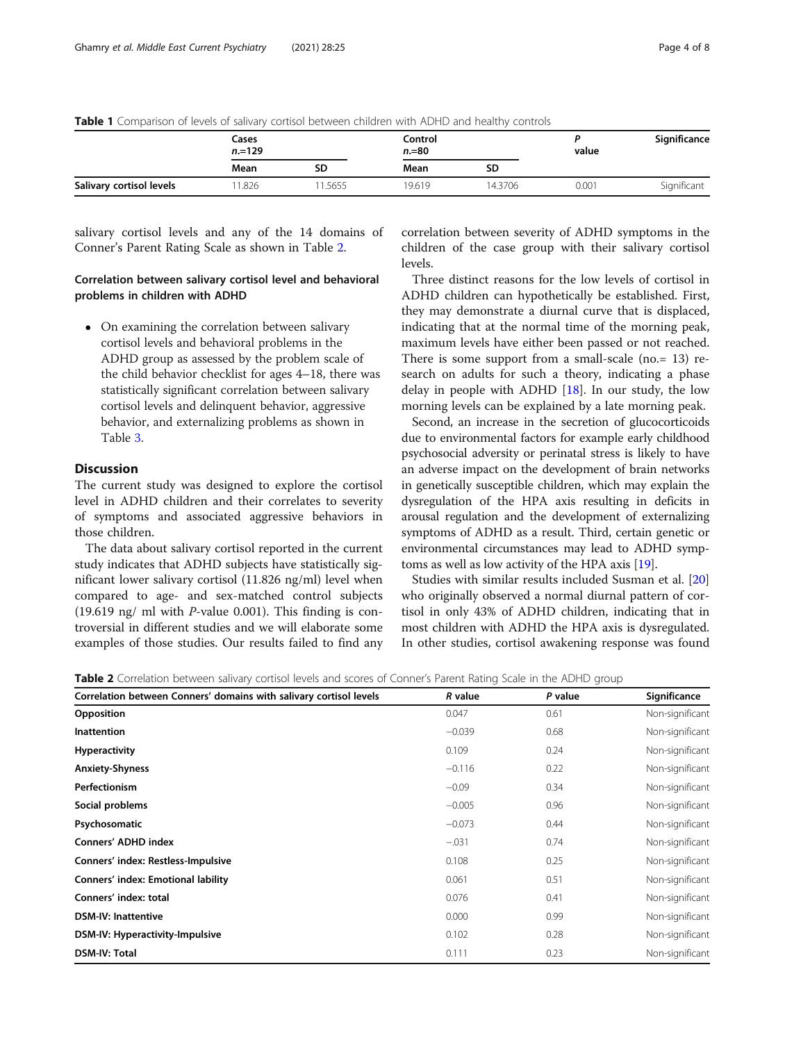|                          | Cases<br>$n = 129$ |        | Control<br>$n = 80$ |         | value | Significance |
|--------------------------|--------------------|--------|---------------------|---------|-------|--------------|
|                          | Mean               | SD     | Mean                | SD      |       |              |
| Salivary cortisol levels | 1.826              | 1.5655 | 19.619              | 14.3706 | 0.001 | Significant  |

## <span id="page-3-0"></span>Table 1 Comparison of levels of salivary cortisol between children with ADHD and healthy controls

salivary cortisol levels and any of the 14 domains of Conner's Parent Rating Scale as shown in Table 2.

## Correlation between salivary cortisol level and behavioral problems in children with ADHD

 On examining the correlation between salivary cortisol levels and behavioral problems in the ADHD group as assessed by the problem scale of the child behavior checklist for ages 4–18, there was statistically significant correlation between salivary cortisol levels and delinquent behavior, aggressive behavior, and externalizing problems as shown in Table [3.](#page-4-0)

## **Discussion**

The current study was designed to explore the cortisol level in ADHD children and their correlates to severity of symptoms and associated aggressive behaviors in those children.

The data about salivary cortisol reported in the current study indicates that ADHD subjects have statistically significant lower salivary cortisol (11.826 ng/ml) level when compared to age- and sex-matched control subjects (19.619 ng/ ml with  $P$ -value 0.001). This finding is controversial in different studies and we will elaborate some examples of those studies. Our results failed to find any

correlation between severity of ADHD symptoms in the children of the case group with their salivary cortisol levels.

Three distinct reasons for the low levels of cortisol in ADHD children can hypothetically be established. First, they may demonstrate a diurnal curve that is displaced, indicating that at the normal time of the morning peak, maximum levels have either been passed or not reached. There is some support from a small-scale (no.= 13) research on adults for such a theory, indicating a phase delay in people with ADHD [[18\]](#page-6-0). In our study, the low morning levels can be explained by a late morning peak.

Second, an increase in the secretion of glucocorticoids due to environmental factors for example early childhood psychosocial adversity or perinatal stress is likely to have an adverse impact on the development of brain networks in genetically susceptible children, which may explain the dysregulation of the HPA axis resulting in deficits in arousal regulation and the development of externalizing symptoms of ADHD as a result. Third, certain genetic or environmental circumstances may lead to ADHD symptoms as well as low activity of the HPA axis [\[19\]](#page-6-0).

Studies with similar results included Susman et al. [[20](#page-6-0)] who originally observed a normal diurnal pattern of cortisol in only 43% of ADHD children, indicating that in most children with ADHD the HPA axis is dysregulated. In other studies, cortisol awakening response was found

| <b>Table 2</b> Correlation between salivary cortisol levels and scores of Conner's Parent Rating Scale in the ADHD group |  |  |  |  |  |  |
|--------------------------------------------------------------------------------------------------------------------------|--|--|--|--|--|--|
|                                                                                                                          |  |  |  |  |  |  |

| Correlation between Conners' domains with salivary cortisol levels | R value  | P value | Significance    |  |
|--------------------------------------------------------------------|----------|---------|-----------------|--|
| Opposition                                                         | 0.047    | 0.61    | Non-significant |  |
| <b>Inattention</b>                                                 | $-0.039$ | 0.68    | Non-significant |  |
| <b>Hyperactivity</b>                                               | 0.109    | 0.24    | Non-significant |  |
| <b>Anxiety-Shyness</b>                                             | $-0.116$ | 0.22    | Non-significant |  |
| <b>Perfectionism</b>                                               | $-0.09$  | 0.34    | Non-significant |  |
| Social problems                                                    | $-0.005$ | 0.96    | Non-significant |  |
| Psychosomatic                                                      | $-0.073$ | 0.44    | Non-significant |  |
| Conners' ADHD index                                                | $-.031$  | 0.74    | Non-significant |  |
| Conners' index: Restless-Impulsive                                 | 0.108    | 0.25    | Non-significant |  |
| Conners' index: Emotional lability                                 | 0.061    | 0.51    | Non-significant |  |
| Conners' index: total                                              | 0.076    | 0.41    | Non-significant |  |
| <b>DSM-IV: Inattentive</b>                                         | 0.000    | 0.99    | Non-significant |  |
| DSM-IV: Hyperactivity-Impulsive                                    | 0.102    | 0.28    | Non-significant |  |
| <b>DSM-IV: Total</b>                                               | 0.111    | 0.23    | Non-significant |  |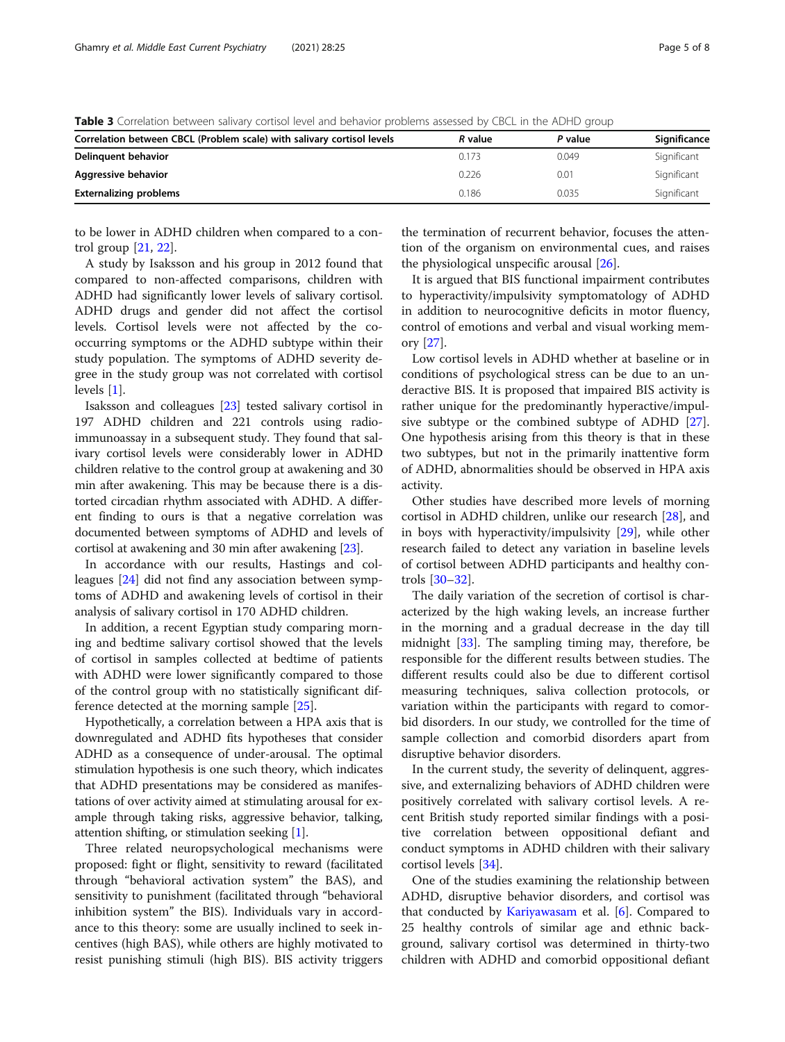<span id="page-4-0"></span>Table 3 Correlation between salivary cortisol level and behavior problems assessed by CBCL in the ADHD group

| Correlation between CBCL (Problem scale) with salivary cortisol levels | R value | P value | Significance |
|------------------------------------------------------------------------|---------|---------|--------------|
| Delinguent behavior                                                    | 0.173   | 0.049   | Significant  |
| Aggressive behavior                                                    | 0.226   | 0.01    | Significant  |
| <b>Externalizing problems</b>                                          | 0.186   | 0.035   | Significant  |

to be lower in ADHD children when compared to a control group [\[21](#page-6-0), [22](#page-6-0)].

A study by Isaksson and his group in 2012 found that compared to non-affected comparisons, children with ADHD had significantly lower levels of salivary cortisol. ADHD drugs and gender did not affect the cortisol levels. Cortisol levels were not affected by the cooccurring symptoms or the ADHD subtype within their study population. The symptoms of ADHD severity degree in the study group was not correlated with cortisol levels [[1\]](#page-6-0).

Isaksson and colleagues [\[23\]](#page-6-0) tested salivary cortisol in 197 ADHD children and 221 controls using radioimmunoassay in a subsequent study. They found that salivary cortisol levels were considerably lower in ADHD children relative to the control group at awakening and 30 min after awakening. This may be because there is a distorted circadian rhythm associated with ADHD. A different finding to ours is that a negative correlation was documented between symptoms of ADHD and levels of cortisol at awakening and 30 min after awakening [[23](#page-6-0)].

In accordance with our results, Hastings and colleagues [[24\]](#page-6-0) did not find any association between symptoms of ADHD and awakening levels of cortisol in their analysis of salivary cortisol in 170 ADHD children.

In addition, a recent Egyptian study comparing morning and bedtime salivary cortisol showed that the levels of cortisol in samples collected at bedtime of patients with ADHD were lower significantly compared to those of the control group with no statistically significant difference detected at the morning sample [\[25](#page-6-0)].

Hypothetically, a correlation between a HPA axis that is downregulated and ADHD fits hypotheses that consider ADHD as a consequence of under-arousal. The optimal stimulation hypothesis is one such theory, which indicates that ADHD presentations may be considered as manifestations of over activity aimed at stimulating arousal for example through taking risks, aggressive behavior, talking, attention shifting, or stimulation seeking [\[1\]](#page-6-0).

Three related neuropsychological mechanisms were proposed: fight or flight, sensitivity to reward (facilitated through "behavioral activation system" the BAS), and sensitivity to punishment (facilitated through "behavioral inhibition system" the BIS). Individuals vary in accordance to this theory: some are usually inclined to seek incentives (high BAS), while others are highly motivated to resist punishing stimuli (high BIS). BIS activity triggers

the termination of recurrent behavior, focuses the attention of the organism on environmental cues, and raises the physiological unspecific arousal [\[26](#page-6-0)].

It is argued that BIS functional impairment contributes to hyperactivity/impulsivity symptomatology of ADHD in addition to neurocognitive deficits in motor fluency, control of emotions and verbal and visual working memory [\[27\]](#page-6-0).

Low cortisol levels in ADHD whether at baseline or in conditions of psychological stress can be due to an underactive BIS. It is proposed that impaired BIS activity is rather unique for the predominantly hyperactive/impulsive subtype or the combined subtype of ADHD [\[27](#page-6-0)]. One hypothesis arising from this theory is that in these two subtypes, but not in the primarily inattentive form of ADHD, abnormalities should be observed in HPA axis activity.

Other studies have described more levels of morning cortisol in ADHD children, unlike our research [\[28](#page-6-0)], and in boys with hyperactivity/impulsivity [[29\]](#page-7-0), while other research failed to detect any variation in baseline levels of cortisol between ADHD participants and healthy controls [\[30](#page-7-0)–[32\]](#page-7-0).

The daily variation of the secretion of cortisol is characterized by the high waking levels, an increase further in the morning and a gradual decrease in the day till midnight [\[33](#page-7-0)]. The sampling timing may, therefore, be responsible for the different results between studies. The different results could also be due to different cortisol measuring techniques, saliva collection protocols, or variation within the participants with regard to comorbid disorders. In our study, we controlled for the time of sample collection and comorbid disorders apart from disruptive behavior disorders.

In the current study, the severity of delinquent, aggressive, and externalizing behaviors of ADHD children were positively correlated with salivary cortisol levels. A recent British study reported similar findings with a positive correlation between oppositional defiant and conduct symptoms in ADHD children with their salivary cortisol levels [\[34](#page-7-0)].

One of the studies examining the relationship between ADHD, disruptive behavior disorders, and cortisol was that conducted by [Kariyawasam](https://pubmed.ncbi.nlm.nih.gov/11880861/) et al. [\[6](#page-6-0)]. Compared to 25 healthy controls of similar age and ethnic background, salivary cortisol was determined in thirty-two children with ADHD and comorbid oppositional defiant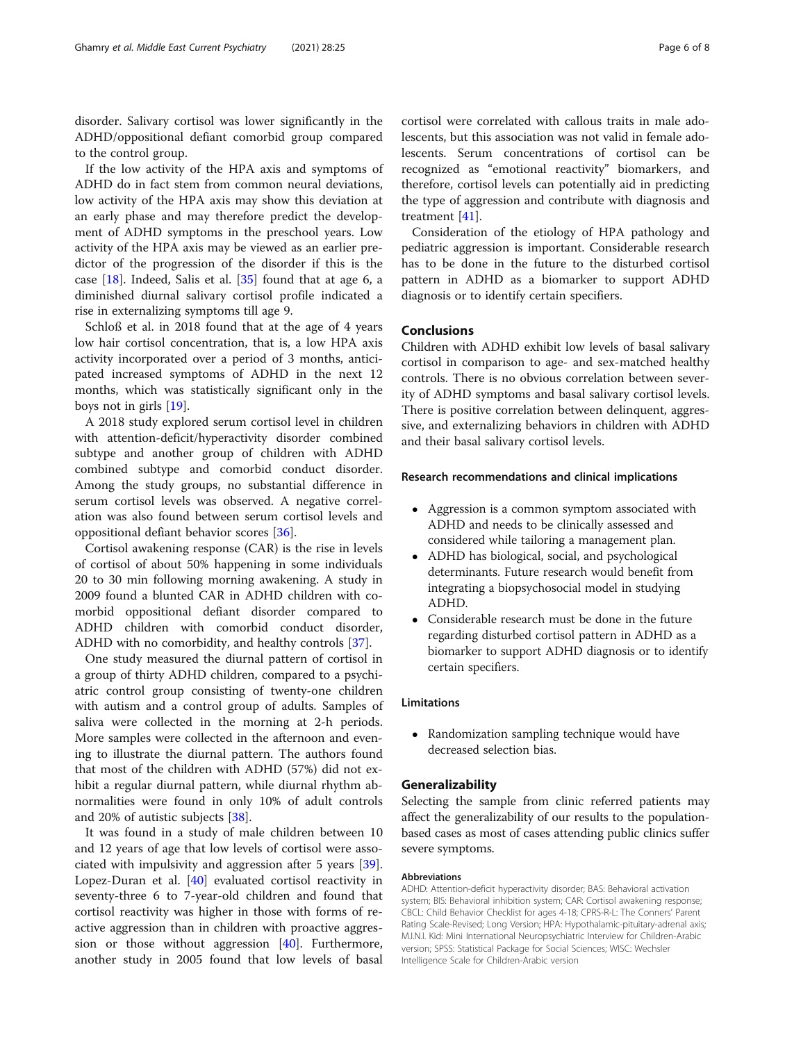disorder. Salivary cortisol was lower significantly in the ADHD/oppositional defiant comorbid group compared to the control group.

If the low activity of the HPA axis and symptoms of ADHD do in fact stem from common neural deviations, low activity of the HPA axis may show this deviation at an early phase and may therefore predict the development of ADHD symptoms in the preschool years. Low activity of the HPA axis may be viewed as an earlier predictor of the progression of the disorder if this is the case  $[18]$  $[18]$  $[18]$ . Indeed, Salis et al.  $[35]$  $[35]$  $[35]$  found that at age 6, a diminished diurnal salivary cortisol profile indicated a rise in externalizing symptoms till age 9.

Schloß et al. in 2018 found that at the age of 4 years low hair cortisol concentration, that is, a low HPA axis activity incorporated over a period of 3 months, anticipated increased symptoms of ADHD in the next 12 months, which was statistically significant only in the boys not in girls [[19\]](#page-6-0).

A 2018 study explored serum cortisol level in children with attention-deficit/hyperactivity disorder combined subtype and another group of children with ADHD combined subtype and comorbid conduct disorder. Among the study groups, no substantial difference in serum cortisol levels was observed. A negative correlation was also found between serum cortisol levels and oppositional defiant behavior scores [\[36\]](#page-7-0).

Cortisol awakening response (CAR) is the rise in levels of cortisol of about 50% happening in some individuals 20 to 30 min following morning awakening. A study in 2009 found a blunted CAR in ADHD children with comorbid oppositional defiant disorder compared to ADHD children with comorbid conduct disorder, ADHD with no comorbidity, and healthy controls [\[37\]](#page-7-0).

One study measured the diurnal pattern of cortisol in a group of thirty ADHD children, compared to a psychiatric control group consisting of twenty-one children with autism and a control group of adults. Samples of saliva were collected in the morning at 2-h periods. More samples were collected in the afternoon and evening to illustrate the diurnal pattern. The authors found that most of the children with ADHD (57%) did not exhibit a regular diurnal pattern, while diurnal rhythm abnormalities were found in only 10% of adult controls and 20% of autistic subjects [\[38\]](#page-7-0).

It was found in a study of male children between 10 and 12 years of age that low levels of cortisol were associated with impulsivity and aggression after 5 years [\[39](#page-7-0)]. Lopez-Duran et al. [[40\]](#page-7-0) evaluated cortisol reactivity in seventy-three 6 to 7-year-old children and found that cortisol reactivity was higher in those with forms of reactive aggression than in children with proactive aggression or those without aggression [[40](#page-7-0)]. Furthermore, another study in 2005 found that low levels of basal

cortisol were correlated with callous traits in male adolescents, but this association was not valid in female adolescents. Serum concentrations of cortisol can be recognized as "emotional reactivity" biomarkers, and therefore, cortisol levels can potentially aid in predicting the type of aggression and contribute with diagnosis and treatment [[41\]](#page-7-0).

Consideration of the etiology of HPA pathology and pediatric aggression is important. Considerable research has to be done in the future to the disturbed cortisol pattern in ADHD as a biomarker to support ADHD diagnosis or to identify certain specifiers.

## Conclusions

Children with ADHD exhibit low levels of basal salivary cortisol in comparison to age- and sex-matched healthy controls. There is no obvious correlation between severity of ADHD symptoms and basal salivary cortisol levels. There is positive correlation between delinquent, aggressive, and externalizing behaviors in children with ADHD and their basal salivary cortisol levels.

#### Research recommendations and clinical implications

- Aggression is a common symptom associated with ADHD and needs to be clinically assessed and considered while tailoring a management plan.
- ADHD has biological, social, and psychological determinants. Future research would benefit from integrating a biopsychosocial model in studying ADHD.
- Considerable research must be done in the future regarding disturbed cortisol pattern in ADHD as a biomarker to support ADHD diagnosis or to identify certain specifiers.

## Limitations

 Randomization sampling technique would have decreased selection bias.

## Generalizability

Selecting the sample from clinic referred patients may affect the generalizability of our results to the populationbased cases as most of cases attending public clinics suffer severe symptoms.

#### Abbreviations

ADHD: Attention-deficit hyperactivity disorder; BAS: Behavioral activation system; BIS: Behavioral inhibition system; CAR: Cortisol awakening response; CBCL: Child Behavior Checklist for ages 4-18; CPRS-R-L: The Conners' Parent Rating Scale-Revised; Long Version; HPA: Hypothalamic-pituitary-adrenal axis; M.I.N.I. Kid: Mini International Neuropsychiatric Interview for Children-Arabic version; SPSS: Statistical Package for Social Sciences; WISC: Wechsler Intelligence Scale for Children-Arabic version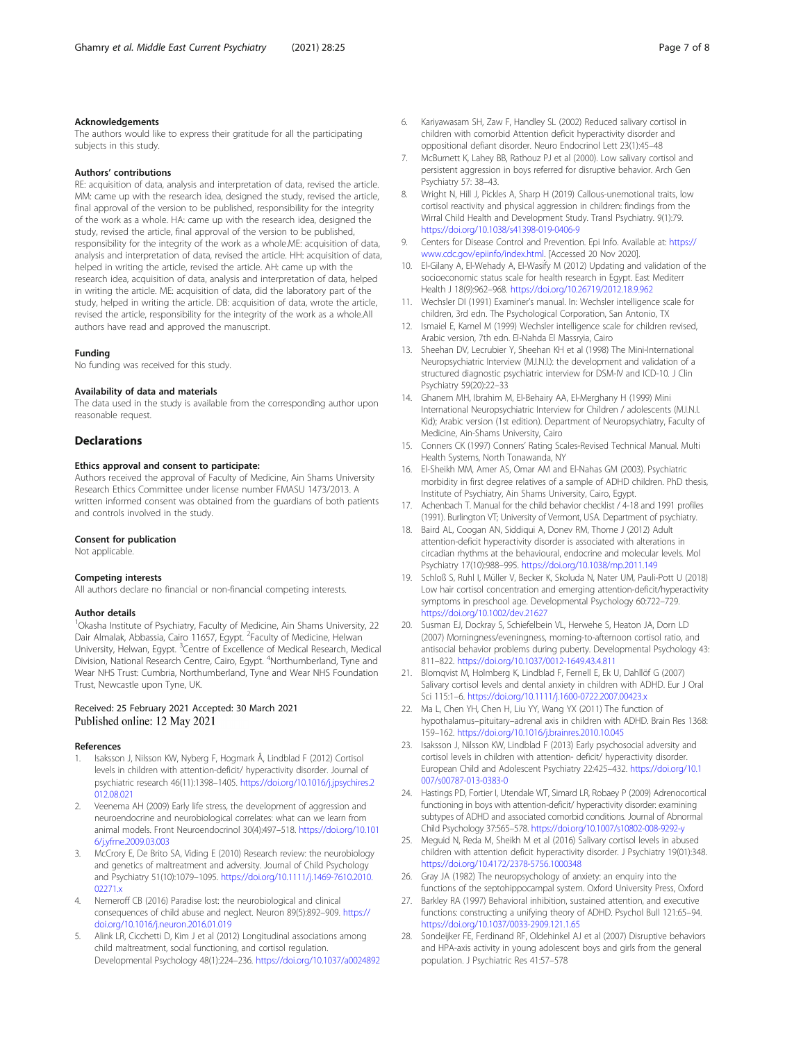#### <span id="page-6-0"></span>Acknowledgements

The authors would like to express their gratitude for all the participating subjects in this study.

#### Authors' contributions

RE: acquisition of data, analysis and interpretation of data, revised the article. MM: came up with the research idea, designed the study, revised the article, final approval of the version to be published, responsibility for the integrity of the work as a whole. HA: came up with the research idea, designed the study, revised the article, final approval of the version to be published, responsibility for the integrity of the work as a whole.ME: acquisition of data, analysis and interpretation of data, revised the article. HH: acquisition of data, helped in writing the article, revised the article. AH: came up with the research idea, acquisition of data, analysis and interpretation of data, helped in writing the article. ME: acquisition of data, did the laboratory part of the study, helped in writing the article. DB: acquisition of data, wrote the article, revised the article, responsibility for the integrity of the work as a whole.All authors have read and approved the manuscript.

#### Funding

No funding was received for this study.

#### Availability of data and materials

The data used in the study is available from the corresponding author upon reasonable request.

#### Declarations

#### Ethics approval and consent to participate:

Authors received the approval of Faculty of Medicine, Ain Shams University Research Ethics Committee under license number FMASU 1473/2013. A written informed consent was obtained from the guardians of both patients and controls involved in the study.

#### Consent for publication

Not applicable.

#### Competing interests

All authors declare no financial or non-financial competing interests.

#### Author details

<sup>1</sup>Okasha Institute of Psychiatry, Faculty of Medicine, Ain Shams University, 22 Dair Almalak, Abbassia, Cairo 11657, Egypt. <sup>2</sup>Faculty of Medicine, Helwan University, Helwan, Egypt. <sup>3</sup>Centre of Excellence of Medical Research, Medical Division, National Research Centre, Cairo, Egypt. <sup>4</sup>Northumberland, Tyne and Wear NHS Trust: Cumbria, Northumberland, Tyne and Wear NHS Foundation Trust, Newcastle upon Tyne, UK.

#### Received: 25 February 2021 Accepted: 30 March 2021 Published online: 12 May 2021

#### References

- 1. Isaksson J, Nilsson KW, Nyberg F, Hogmark Å, Lindblad F (2012) Cortisol levels in children with attention-deficit/ hyperactivity disorder. Journal of psychiatric research 46(11):1398–1405. [https://doi.org/10.1016/j.jpsychires.2](https://doi.org/10.1016/j.jpsychires.2012.08.021) [012.08.021](https://doi.org/10.1016/j.jpsychires.2012.08.021)
- 2. Veenema AH (2009) Early life stress, the development of aggression and neuroendocrine and neurobiological correlates: what can we learn from animal models. Front Neuroendocrinol 30(4):497–518. [https://doi.org/10.101](https://doi.org/10.1016/j.yfrne.2009.03.003) [6/j.yfrne.2009.03.003](https://doi.org/10.1016/j.yfrne.2009.03.003)
- 3. McCrory E, De Brito SA, Viding E (2010) Research review: the neurobiology and genetics of maltreatment and adversity. Journal of Child Psychology and Psychiatry 51(10):1079–1095. [https://doi.org/10.1111/j.1469-7610.2010.](https://doi.org/10.1111/j.1469-7610.2010.02271.x) [02271.x](https://doi.org/10.1111/j.1469-7610.2010.02271.x)
- 4. Nemeroff CB (2016) Paradise lost: the neurobiological and clinical consequences of child abuse and neglect. Neuron 89(5):892–909. [https://](https://doi.org/10.1016/j.neuron.2016.01.019) [doi.org/10.1016/j.neuron.2016.01.019](https://doi.org/10.1016/j.neuron.2016.01.019)
- 5. Alink LR, Cicchetti D, Kim J et al (2012) Longitudinal associations among child maltreatment, social functioning, and cortisol regulation. Developmental Psychology 48(1):224–236. <https://doi.org/10.1037/a0024892>
- 6. Kariyawasam SH, Zaw F, Handley SL (2002) Reduced salivary cortisol in children with comorbid Attention deficit hyperactivity disorder and oppositional defiant disorder. Neuro Endocrinol Lett 23(1):45–48
- 7. McBurnett K, Lahey BB, Rathouz PJ et al (2000). Low salivary cortisol and persistent aggression in boys referred for disruptive behavior. Arch Gen Psychiatry 57: 38–43.
- 8. Wright N, Hill J, Pickles A, Sharp H (2019) Callous-unemotional traits, low cortisol reactivity and physical aggression in children: findings from the Wirral Child Health and Development Study. Transl Psychiatry. 9(1):79. <https://doi.org/10.1038/s41398-019-0406-9>
- 9. Centers for Disease Control and Prevention. Epi Info. Available at: [https://](https://www.cdc.gov/epiinfo/index.html) [www.cdc.gov/epiinfo/index.html.](https://www.cdc.gov/epiinfo/index.html) [Accessed 20 Nov 2020].
- 10. El-Gilany A, El-Wehady A, El-Wasify M (2012) Updating and validation of the socioeconomic status scale for health research in Egypt. East Mediterr Health J 18(9):962–968. <https://doi.org/10.26719/2012.18.9.962>
- 11. Wechsler DI (1991) Examiner's manual. In: Wechsler intelligence scale for children, 3rd edn. The Psychological Corporation, San Antonio, TX
- 12. Ismaiel E, Kamel M (1999) Wechsler intelligence scale for children revised, Arabic version, 7th edn. El-Nahda El Massryia, Cairo
- 13. Sheehan DV, Lecrubier Y, Sheehan KH et al (1998) The Mini-International Neuropsychiatric Interview (M.I.N.I.): the development and validation of a structured diagnostic psychiatric interview for DSM-IV and ICD-10. J Clin Psychiatry 59(20):22–33
- 14. Ghanem MH, Ibrahim M, El-Behairy AA, El-Merghany H (1999) Mini International Neuropsychiatric Interview for Children / adolescents (M.I.N.I. Kid); Arabic version (1st edition). Department of Neuropsychiatry, Faculty of Medicine, Ain-Shams University, Cairo
- 15. Conners CK (1997) Conners' Rating Scales-Revised Technical Manual. Multi Health Systems, North Tonawanda, NY
- 16. El-Sheikh MM, Amer AS, Omar AM and El-Nahas GM (2003). Psychiatric morbidity in first degree relatives of a sample of ADHD children. PhD thesis, Institute of Psychiatry, Ain Shams University, Cairo, Egypt.
- 17. Achenbach T. Manual for the child behavior checklist / 4-18 and 1991 profiles (1991). Burlington VT; University of Vermont, USA. Department of psychiatry.
- 18. Baird AL, Coogan AN, Siddiqui A, Donev RM, Thome J (2012) Adult attention-deficit hyperactivity disorder is associated with alterations in circadian rhythms at the behavioural, endocrine and molecular levels. Mol Psychiatry 17(10):988–995. <https://doi.org/10.1038/mp.2011.149>
- 19. Schloß S, Ruhl I, Müller V, Becker K, Skoluda N, Nater UM, Pauli-Pott U (2018) Low hair cortisol concentration and emerging attention-deficit/hyperactivity symptoms in preschool age. Developmental Psychology 60:722–729. <https://doi.org/10.1002/dev.21627>
- 20. Susman EJ, Dockray S, Schiefelbein VL, Herwehe S, Heaton JA, Dorn LD (2007) Morningness/eveningness, morning-to-afternoon cortisol ratio, and antisocial behavior problems during puberty. Developmental Psychology 43: 811–822. <https://doi.org/10.1037/0012-1649.43.4.811>
- 21. Blomqvist M, Holmberg K, Lindblad F, Fernell E, Ek U, Dahllöf G (2007) Salivary cortisol levels and dental anxiety in children with ADHD. Eur J Oral Sci 115:1–6. <https://doi.org/10.1111/j.1600-0722.2007.00423.x>
- 22. Ma L, Chen YH, Chen H, Liu YY, Wang YX (2011) The function of hypothalamus–pituitary–adrenal axis in children with ADHD. Brain Res 1368: 159–162. <https://doi.org/10.1016/j.brainres.2010.10.045>
- 23. Isaksson J, Nilsson KW, Lindblad F (2013) Early psychosocial adversity and cortisol levels in children with attention- deficit/ hyperactivity disorder. European Child and Adolescent Psychiatry 22:425–432. [https://doi.org/10.1](https://doi.org/10.1007/s00787-013-0383-0) [007/s00787-013-0383-0](https://doi.org/10.1007/s00787-013-0383-0)
- 24. Hastings PD, Fortier I, Utendale WT, Simard LR, Robaey P (2009) Adrenocortical functioning in boys with attention-deficit/ hyperactivity disorder: examining subtypes of ADHD and associated comorbid conditions. Journal of Abnormal Child Psychology 37:565–578. <https://doi.org/10.1007/s10802-008-9292-y>
- 25. Meguid N, Reda M, Sheikh M et al (2016) Salivary cortisol levels in abused children with attention deficit hyperactivity disorder. J Psychiatry 19(01):348. <https://doi.org/10.4172/2378-5756.1000348>
- 26. Gray JA (1982) The neuropsychology of anxiety: an enquiry into the functions of the septohippocampal system. Oxford University Press, Oxford
- 27. Barkley RA (1997) Behavioral inhibition, sustained attention, and executive functions: constructing a unifying theory of ADHD. Psychol Bull 121:65–94. <https://doi.org/10.1037/0033-2909.121.1.65>
- 28. Sondeijker FE, Ferdinand RF, Oldehinkel AJ et al (2007) Disruptive behaviors and HPA-axis activity in young adolescent boys and girls from the general population. J Psychiatric Res 41:57–578